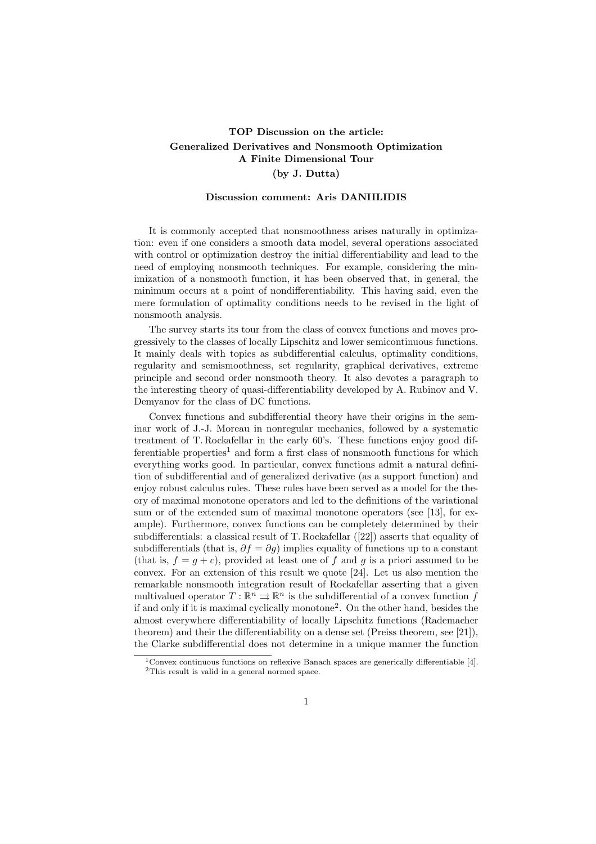## TOP Discussion on the article: Generalized Derivatives and Nonsmooth Optimization A Finite Dimensional Tour (by J. Dutta)

## Discussion comment: Aris DANIILIDIS

It is commonly accepted that nonsmoothness arises naturally in optimization: even if one considers a smooth data model, several operations associated with control or optimization destroy the initial differentiability and lead to the need of employing nonsmooth techniques. For example, considering the minimization of a nonsmooth function, it has been observed that, in general, the minimum occurs at a point of nondifferentiability. This having said, even the mere formulation of optimality conditions needs to be revised in the light of nonsmooth analysis.

The survey starts its tour from the class of convex functions and moves progressively to the classes of locally Lipschitz and lower semicontinuous functions. It mainly deals with topics as subdifferential calculus, optimality conditions, regularity and semismoothness, set regularity, graphical derivatives, extreme principle and second order nonsmooth theory. It also devotes a paragraph to the interesting theory of quasi-differentiability developed by A. Rubinov and V. Demyanov for the class of DC functions.

Convex functions and subdifferential theory have their origins in the seminar work of J.-J. Moreau in nonregular mechanics, followed by a systematic treatment of T. Rockafellar in the early 60's. These functions enjoy good dif $f$  ferentiable properties<sup>1</sup> and form a first class of nonsmooth functions for which everything works good. In particular, convex functions admit a natural definition of subdifferential and of generalized derivative (as a support function) and enjoy robust calculus rules. These rules have been served as a model for the theory of maximal monotone operators and led to the definitions of the variational sum or of the extended sum of maximal monotone operators (see [13], for example). Furthermore, convex functions can be completely determined by their subdifferentials: a classical result of T. Rockafellar ([22]) asserts that equality of subdifferentials (that is,  $\partial f = \partial q$ ) implies equality of functions up to a constant (that is,  $f = g + c$ ), provided at least one of f and g is a priori assumed to be convex. For an extension of this result we quote [24]. Let us also mention the remarkable nonsmooth integration result of Rockafellar asserting that a given multivalued operator  $T: \mathbb{R}^n \rightrightarrows \mathbb{R}^n$  is the subdifferential of a convex function f if and only if it is maximal cyclically monotone<sup>2</sup> . On the other hand, besides the almost everywhere differentiability of locally Lipschitz functions (Rademacher theorem) and their the differentiability on a dense set (Preiss theorem, see [21]), the Clarke subdifferential does not determine in a unique manner the function

 $1$ Convex continuous functions on reflexive Banach spaces are generically differentiable [4]. <sup>2</sup>This result is valid in a general normed space.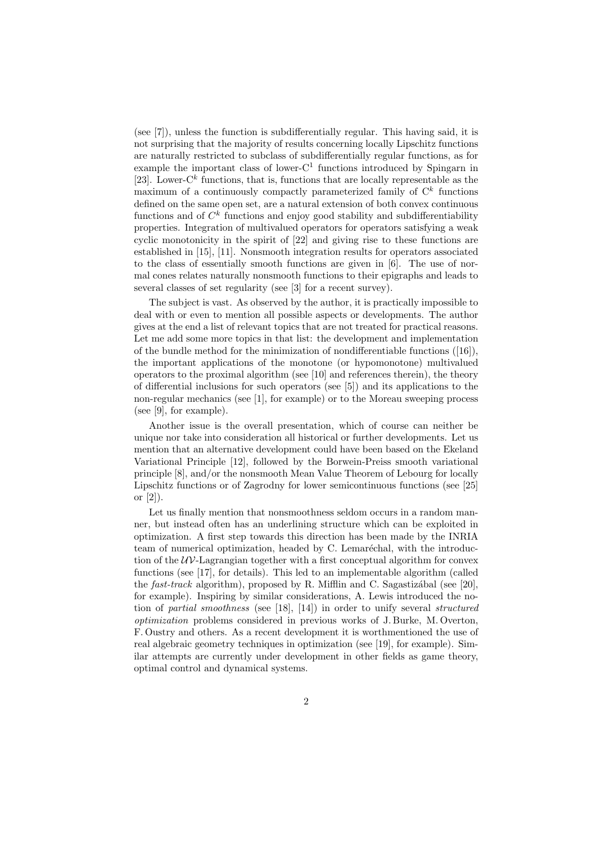(see [7]), unless the function is subdifferentially regular. This having said, it is not surprising that the majority of results concerning locally Lipschitz functions are naturally restricted to subclass of subdifferentially regular functions, as for example the important class of lower- $C<sup>1</sup>$  functions introduced by Spingarn in [23]. Lower- $C<sup>k</sup>$  functions, that is, functions that are locally representable as the maximum of a continuously compactly parameterized family of  $\mathbb{C}^k$  functions defined on the same open set, are a natural extension of both convex continuous functions and of  $C<sup>k</sup>$  functions and enjoy good stability and subdifferentiability properties. Integration of multivalued operators for operators satisfying a weak cyclic monotonicity in the spirit of [22] and giving rise to these functions are established in [15], [11]. Nonsmooth integration results for operators associated to the class of essentially smooth functions are given in [6]. The use of normal cones relates naturally nonsmooth functions to their epigraphs and leads to several classes of set regularity (see [3] for a recent survey).

The subject is vast. As observed by the author, it is practically impossible to deal with or even to mention all possible aspects or developments. The author gives at the end a list of relevant topics that are not treated for practical reasons. Let me add some more topics in that list: the development and implementation of the bundle method for the minimization of nondifferentiable functions  $([16])$ . the important applications of the monotone (or hypomonotone) multivalued operators to the proximal algorithm (see [10] and references therein), the theory of differential inclusions for such operators (see [5]) and its applications to the non-regular mechanics (see [1], for example) or to the Moreau sweeping process (see [9], for example).

Another issue is the overall presentation, which of course can neither be unique nor take into consideration all historical or further developments. Let us mention that an alternative development could have been based on the Ekeland Variational Principle [12], followed by the Borwein-Preiss smooth variational principle [8], and/or the nonsmooth Mean Value Theorem of Lebourg for locally Lipschitz functions or of Zagrodny for lower semicontinuous functions (see [25] or [2]).

Let us finally mention that nonsmoothness seldom occurs in a random manner, but instead often has an underlining structure which can be exploited in optimization. A first step towards this direction has been made by the INRIA team of numerical optimization, headed by C. Lemaréchal, with the introduction of the  $UV$ -Lagrangian together with a first conceptual algorithm for convex functions (see [17], for details). This led to an implementable algorithm (called the fast-track algorithm), proposed by R. Mifflin and C. Sagastizábal (see [20]. for example). Inspiring by similar considerations, A. Lewis introduced the notion of partial smoothness (see [18], [14]) in order to unify several structured optimization problems considered in previous works of J. Burke, M. Overton, F. Oustry and others. As a recent development it is worthmentioned the use of real algebraic geometry techniques in optimization (see [19], for example). Similar attempts are currently under development in other fields as game theory, optimal control and dynamical systems.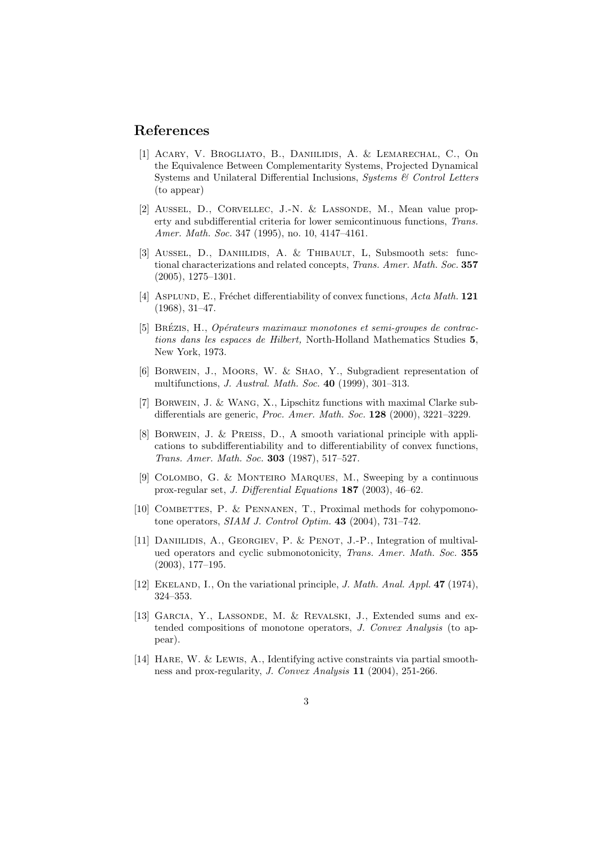## References

- [1] Acary, V. Brogliato, B., Daniilidis, A. & Lemarechal, C., On the Equivalence Between Complementarity Systems, Projected Dynamical Systems and Unilateral Differential Inclusions, Systems & Control Letters (to appear)
- [2] Aussel, D., Corvellec, J.-N. & Lassonde, M., Mean value property and subdifferential criteria for lower semicontinuous functions, Trans. Amer. Math. Soc. 347 (1995), no. 10, 4147–4161.
- [3] Aussel, D., Daniilidis, A. & Thibault, L, Subsmooth sets: functional characterizations and related concepts, Trans. Amer. Math. Soc. 357 (2005), 1275–1301.
- [4] ASPLUND, E., Fréchet differentiability of convex functions,  $Acta Math. 121$ (1968), 31–47.
- [5] BRÉZIS, H., Opérateurs maximaux monotones et semi-groupes de contractions dans les espaces de Hilbert, North-Holland Mathematics Studies 5, New York, 1973.
- [6] Borwein, J., Moors, W. & Shao, Y., Subgradient representation of multifunctions, J. Austral. Math. Soc. 40 (1999), 301–313.
- [7] Borwein, J. & Wang, X., Lipschitz functions with maximal Clarke subdifferentials are generic, Proc. Amer. Math. Soc. 128 (2000), 3221–3229.
- [8] BORWEIN, J. & PREISS, D., A smooth variational principle with applications to subdifferentiability and to differentiability of convex functions, Trans. Amer. Math. Soc. 303 (1987), 517–527.
- [9] Colombo, G. & Monteiro Marques, M., Sweeping by a continuous prox-regular set, J. Differential Equations 187 (2003), 46–62.
- [10] COMBETTES, P.  $&$  PENNANEN, T., Proximal methods for cohypomonotone operators, SIAM J. Control Optim. 43 (2004), 731–742.
- [11] DANIILIDIS, A., GEORGIEV, P. & PENOT, J.-P., Integration of multivalued operators and cyclic submonotonicity, Trans. Amer. Math. Soc. 355 (2003), 177–195.
- [12] EKELAND, I., On the variational principle, *J. Math. Anal. Appl.* 47 (1974), 324–353.
- [13] Garcia, Y., Lassonde, M. & Revalski, J., Extended sums and extended compositions of monotone operators, J. Convex Analysis (to appear).
- [14] Hare, W. & Lewis, A., Identifying active constraints via partial smoothness and prox-regularity, J. Convex Analysis 11 (2004), 251-266.